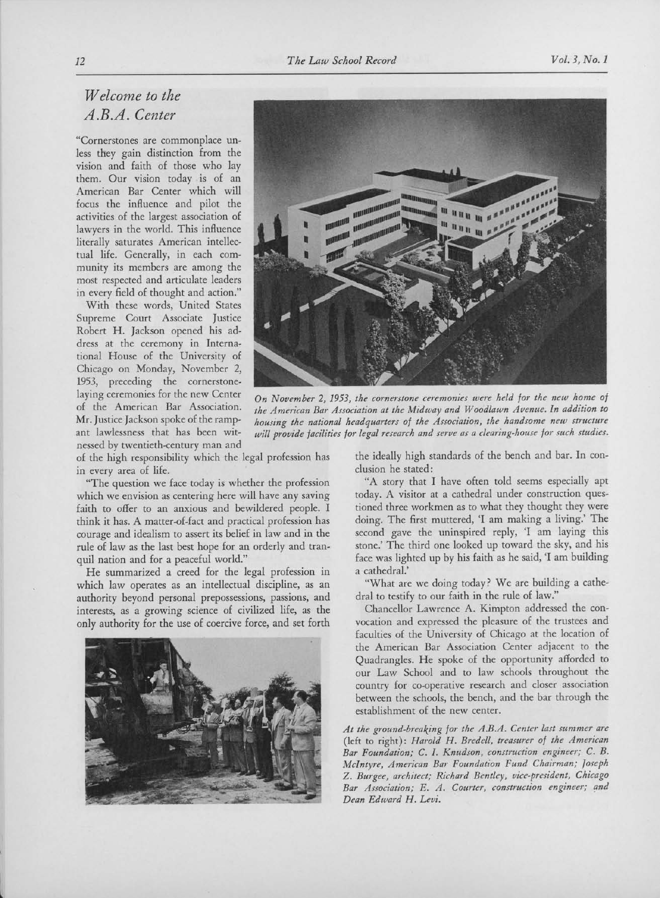## 12 The Law School Record Vol. 3, No. 1

## Welcome to the A.B.A. Center

"Cornerstones are commonplace unless they gain distinction from the vision and faith of those who lay them. Our vision today is of an American Bar Center which will focus the influence and pilot the activities of the largest association of lawyers in the world. This influence literally saturates American intellectual life. Generally, in each community its members are among the most respected and articulate leaders in every field of thought and action."

With these words, United States Supreme Court Associate Justice Robert H. Jackson opened his address at the ceremony in International House of the University of Chicago on Monday, November 2, 1953, preceding the cornerstonelaying ceremonies for the new Center of the American Bar Association. Mr. Justice Jackson spoke of the rampant lawlessness that has been witnessed by twentieth-century man and

of the high responsibility which the legal profession has in every area of life.

"The question we face today is whether the profession which we envision as centering here will have any saving faith to offer to an anxious and bewildered people. I think it has. A matter-of-fact and practical profession has courage and idealism to assert its belief in law and in the rule of law as the last best hope for an orderly and tranquil nation and for <sup>a</sup> peaceful world."

He summarized <sup>a</sup> creed for the legal profession in which law operates as an intellectual discipline, as an authority beyond personal prepossessions, passions, and interests, as <sup>a</sup> growing science of civilized life, as the only authority for the use of coercive force, and set forth





On November 2, 1953, the cornerstone ceremonies were held for the new home of the American Bar Association at the Midway and Woodlawn Avenue. In addition to housing the national headquarters of the Association, the handsome new structure will provide facilities for legal research and serve as a clearing-house for such studies.

the ideally high standards of the bench and bar. In conclusion he stated:

"A story that I have often told seems especially apt today. A visitor at <sup>a</sup> cathedral under construction questioned three workmen as to what they thought they were doing. The first muttered, 'I am making <sup>a</sup> living.' The second gave the uninspired reply, 'I am laying this stone.' The third one looked up toward the sky, and his face was lighted up by his faith as he said, 'I am building a cathedral.'

"What are we doing today? We are building a cathedral to testify to our faith in the rule of law."

Chancellor Lawrence A. Kimpton addressed the convocation and expressed the pleasure of the trustees and faculties of the University of Chicago at the location of the American Bar Association Center adjacent to the Quadrangles. He spoke of the opportunity afforded to our Law School and to law schools throughout the country for co-operative research and closer association between the schools, the bench, and the bar through the establishment of the new center.

At the ground-breaking for the A.B.A. Center last summer are (left to right): Harold H. Bredell, treasurer of the American Bar Foundation; C. I. Knudson, construction engineer; C. B. Mclntyre, American Bar Foundation Fund Chairman; Joseph z. Burgee, architect; Richard Bentley, vice-president, Chicago Bar Association; E. A. Courter, construction engineer; and Dean Edward H. Levi.